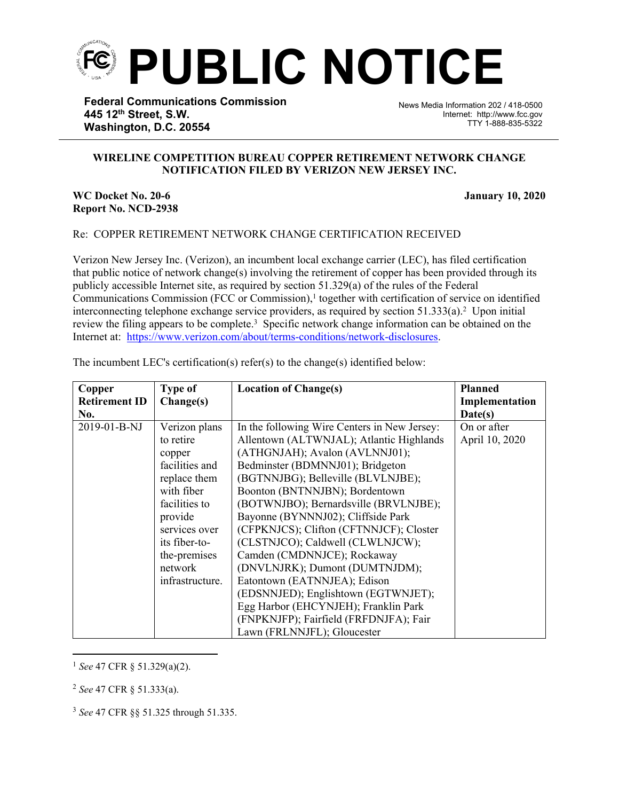

**Federal Communications Commission 445 12th Street, S.W. Washington, D.C. 20554**

News Media Information 202 / 418-0500 Internet: http://www.fcc.gov TTY 1-888-835-5322

## **WIRELINE COMPETITION BUREAU COPPER RETIREMENT NETWORK CHANGE NOTIFICATION FILED BY VERIZON NEW JERSEY INC.**

֡֡֡֡

## **WC Docket No. 20-6 January 10, 2020 Report No. NCD-2938**

## Re: COPPER RETIREMENT NETWORK CHANGE CERTIFICATION RECEIVED

Verizon New Jersey Inc. (Verizon), an incumbent local exchange carrier (LEC), has filed certification that public notice of network change(s) involving the retirement of copper has been provided through its publicly accessible Internet site, as required by section 51.329(a) of the rules of the Federal Communications Commission (FCC or Commission),<sup>1</sup> together with certification of service on identified interconnecting telephone exchange service providers, as required by section  $51.333(a)$ .<sup>2</sup> Upon initial review the filing appears to be complete.<sup>3</sup> Specific network change information can be obtained on the Internet at: <https://www.verizon.com/about/terms-conditions/network-disclosures>.

| Copper               | <b>Type of</b>  | <b>Location of Change(s)</b>                 | <b>Planned</b> |
|----------------------|-----------------|----------------------------------------------|----------------|
| <b>Retirement ID</b> | Change(s)       |                                              | Implementation |
| No.                  |                 |                                              | Date(s)        |
| 2019-01-B-NJ         | Verizon plans   | In the following Wire Centers in New Jersey: | On or after    |
|                      | to retire       | Allentown (ALTWNJAL); Atlantic Highlands     | April 10, 2020 |
|                      | copper          | (ATHGNJAH); Avalon (AVLNNJ01);               |                |
|                      | facilities and  | Bedminster (BDMNNJ01); Bridgeton             |                |
|                      | replace them    | (BGTNNJBG); Belleville (BLVLNJBE);           |                |
|                      | with fiber      | Boonton (BNTNNJBN); Bordentown               |                |
|                      | facilities to   | (BOTWNJBO); Bernardsville (BRVLNJBE);        |                |
|                      | provide         | Bayonne (BYNNNJ02); Cliffside Park           |                |
|                      | services over   | (CFPKNJCS); Clifton (CFTNNJCF); Closter      |                |
|                      | its fiber-to-   | (CLSTNJCO); Caldwell (CLWLNJCW);             |                |
|                      | the-premises    | Camden (CMDNNJCE); Rockaway                  |                |
|                      | network         | (DNVLNJRK); Dumont (DUMTNJDM);               |                |
|                      | infrastructure. | Eatontown (EATNNJEA); Edison                 |                |
|                      |                 | (EDSNNJED); Englishtown (EGTWNJET);          |                |
|                      |                 | Egg Harbor (EHCYNJEH); Franklin Park         |                |
|                      |                 | (FNPKNJFP); Fairfield (FRFDNJFA); Fair       |                |
|                      |                 | Lawn (FRLNNJFL); Gloucester                  |                |

The incumbent LEC's certification(s) refer(s) to the change(s) identified below:

<sup>1</sup> *See* 47 CFR § 51.329(a)(2).

<sup>2</sup> *See* 47 CFR § 51.333(a).

<sup>3</sup> *See* 47 CFR §§ 51.325 through 51.335.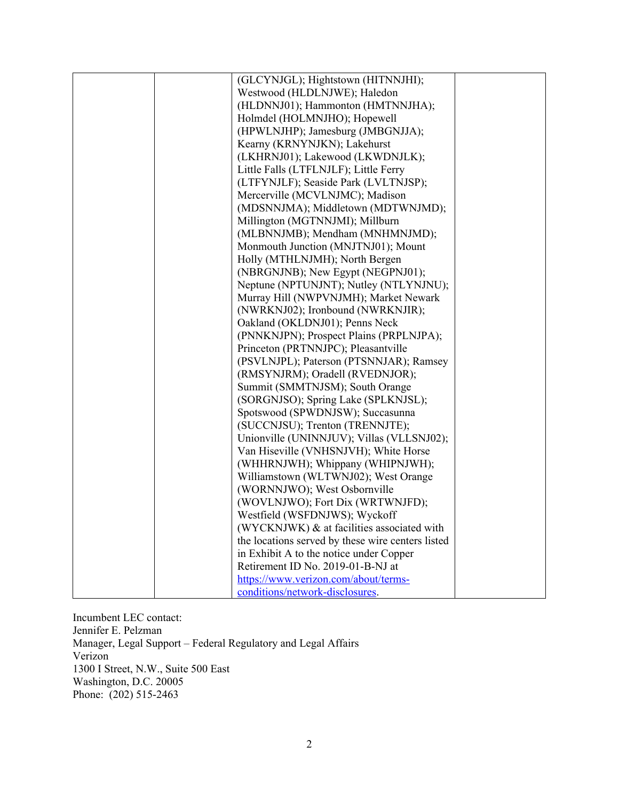|  | (GLCYNJGL); Hightstown (HITNNJHI);                |  |
|--|---------------------------------------------------|--|
|  | Westwood (HLDLNJWE); Haledon                      |  |
|  | (HLDNNJ01); Hammonton (HMTNNJHA);                 |  |
|  | Holmdel (HOLMNJHO); Hopewell                      |  |
|  | (HPWLNJHP); Jamesburg (JMBGNJJA);                 |  |
|  | Kearny (KRNYNJKN); Lakehurst                      |  |
|  | (LKHRNJ01); Lakewood (LKWDNJLK);                  |  |
|  | Little Falls (LTFLNJLF); Little Ferry             |  |
|  | (LTFYNJLF); Seaside Park (LVLTNJSP);              |  |
|  | Mercerville (MCVLNJMC); Madison                   |  |
|  | (MDSNNJMA); Middletown (MDTWNJMD);                |  |
|  | Millington (MGTNNJMI); Millburn                   |  |
|  | (MLBNNJMB); Mendham (MNHMNJMD);                   |  |
|  | Monmouth Junction (MNJTNJ01); Mount               |  |
|  | Holly (MTHLNJMH); North Bergen                    |  |
|  | (NBRGNJNB); New Egypt (NEGPNJ01);                 |  |
|  | Neptune (NPTUNJNT); Nutley (NTLYNJNU);            |  |
|  | Murray Hill (NWPVNJMH); Market Newark             |  |
|  | (NWRKNJ02); Ironbound (NWRKNJIR);                 |  |
|  | Oakland (OKLDNJ01); Penns Neck                    |  |
|  | (PNNKNJPN); Prospect Plains (PRPLNJPA);           |  |
|  | Princeton (PRTNNJPC); Pleasantville               |  |
|  | (PSVLNJPL); Paterson (PTSNNJAR); Ramsey           |  |
|  | (RMSYNJRM); Oradell (RVEDNJOR);                   |  |
|  | Summit (SMMTNJSM); South Orange                   |  |
|  | (SORGNJSO); Spring Lake (SPLKNJSL);               |  |
|  | Spotswood (SPWDNJSW); Succasunna                  |  |
|  | (SUCCNJSU); Trenton (TRENNJTE);                   |  |
|  | Unionville (UNINNJUV); Villas (VLLSNJ02);         |  |
|  | Van Hiseville (VNHSNJVH); White Horse             |  |
|  | (WHHRNJWH); Whippany (WHIPNJWH);                  |  |
|  | Williamstown (WLTWNJ02); West Orange              |  |
|  | (WORNNJWO); West Osbornville                      |  |
|  | (WOVLNJWO); Fort Dix (WRTWNJFD);                  |  |
|  | Westfield (WSFDNJWS); Wyckoff                     |  |
|  | (WYCKNJWK) & at facilities associated with        |  |
|  | the locations served by these wire centers listed |  |
|  | in Exhibit A to the notice under Copper           |  |
|  | Retirement ID No. 2019-01-B-NJ at                 |  |
|  | https://www.verizon.com/about/terms-              |  |
|  | conditions/network-disclosures.                   |  |

Incumbent LEC contact: Jennifer E. Pelzman Manager, Legal Support – Federal Regulatory and Legal Affairs Verizon 1300 I Street, N.W., Suite 500 East Washington, D.C. 20005 Phone: (202) 515-2463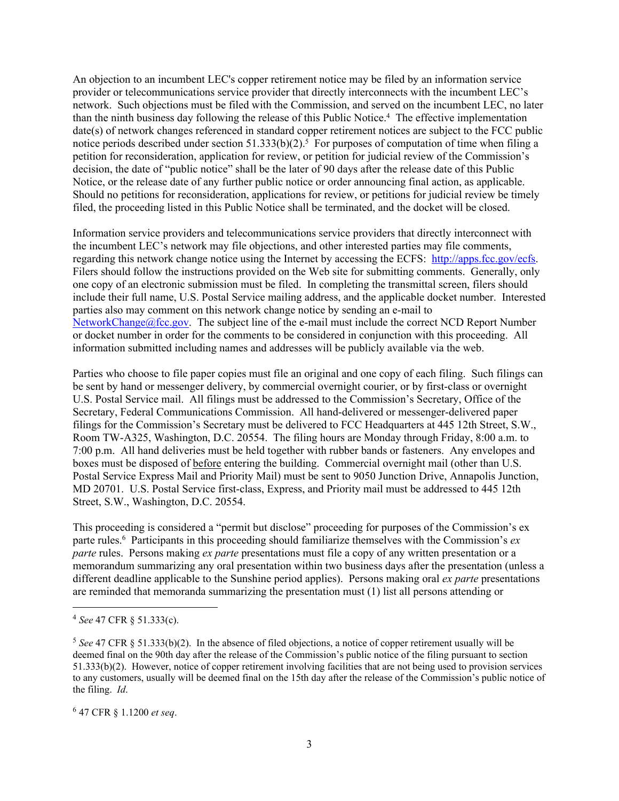An objection to an incumbent LEC's copper retirement notice may be filed by an information service provider or telecommunications service provider that directly interconnects with the incumbent LEC's network. Such objections must be filed with the Commission, and served on the incumbent LEC, no later than the ninth business day following the release of this Public Notice.<sup>4</sup> The effective implementation date(s) of network changes referenced in standard copper retirement notices are subject to the FCC public notice periods described under section  $51.333(b)(2)$ .<sup>5</sup> For purposes of computation of time when filing a petition for reconsideration, application for review, or petition for judicial review of the Commission's decision, the date of "public notice" shall be the later of 90 days after the release date of this Public Notice, or the release date of any further public notice or order announcing final action, as applicable. Should no petitions for reconsideration, applications for review, or petitions for judicial review be timely filed, the proceeding listed in this Public Notice shall be terminated, and the docket will be closed.

Information service providers and telecommunications service providers that directly interconnect with the incumbent LEC's network may file objections, and other interested parties may file comments, regarding this network change notice using the Internet by accessing the ECFS: [http://apps.fcc.gov/ecfs.](http://apps.fcc.gov/ecfs) Filers should follow the instructions provided on the Web site for submitting comments. Generally, only one copy of an electronic submission must be filed. In completing the transmittal screen, filers should include their full name, U.S. Postal Service mailing address, and the applicable docket number. Interested parties also may comment on this network change notice by sending an e-mail to [NetworkChange@fcc.gov.](mailto:NetworkChange@fcc.gov) The subject line of the e-mail must include the correct NCD Report Number or docket number in order for the comments to be considered in conjunction with this proceeding. All information submitted including names and addresses will be publicly available via the web.

Parties who choose to file paper copies must file an original and one copy of each filing. Such filings can be sent by hand or messenger delivery, by commercial overnight courier, or by first-class or overnight U.S. Postal Service mail. All filings must be addressed to the Commission's Secretary, Office of the Secretary, Federal Communications Commission. All hand-delivered or messenger-delivered paper filings for the Commission's Secretary must be delivered to FCC Headquarters at 445 12th Street, S.W., Room TW-A325, Washington, D.C. 20554. The filing hours are Monday through Friday, 8:00 a.m. to 7:00 p.m. All hand deliveries must be held together with rubber bands or fasteners. Any envelopes and boxes must be disposed of before entering the building. Commercial overnight mail (other than U.S. Postal Service Express Mail and Priority Mail) must be sent to 9050 Junction Drive, Annapolis Junction, MD 20701. U.S. Postal Service first-class, Express, and Priority mail must be addressed to 445 12th Street, S.W., Washington, D.C. 20554.

This proceeding is considered a "permit but disclose" proceeding for purposes of the Commission's ex parte rules.<sup>6</sup> Participants in this proceeding should familiarize themselves with the Commission's *ex parte* rules. Persons making *ex parte* presentations must file a copy of any written presentation or a memorandum summarizing any oral presentation within two business days after the presentation (unless a different deadline applicable to the Sunshine period applies). Persons making oral *ex parte* presentations are reminded that memoranda summarizing the presentation must (1) list all persons attending or

<sup>4</sup> *See* 47 CFR § 51.333(c).

<sup>5</sup> *See* 47 CFR § 51.333(b)(2). In the absence of filed objections, a notice of copper retirement usually will be deemed final on the 90th day after the release of the Commission's public notice of the filing pursuant to section 51.333(b)(2). However, notice of copper retirement involving facilities that are not being used to provision services to any customers, usually will be deemed final on the 15th day after the release of the Commission's public notice of the filing. *Id*.

<sup>6</sup> 47 CFR § 1.1200 *et seq*.